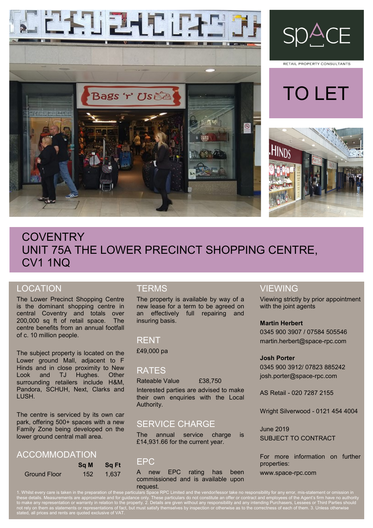



RETAIL PROPERTY CONSULTANTS





# **COVENTRY** UNIT 75A THE LOWER PRECINCT SHOPPING CENTRE, CV1 1NQ

# LOCATION

The Lower Precinct Shopping Centre is the dominant shopping centre in central Coventry and totals over 200,000 sq ft of retail space. The centre benefits from an annual footfall of c. 10 million people.

The subject property is located on the Lower ground Mall, adjacent to F Hinds and in close proximity to New Look and TJ Hughes. Other surrounding retailers include H&M, Pandora, SCHUH, Next, Clarks and LUSH.

The centre is serviced by its own car park, offering 500+ spaces with a new Family Zone being developed on the lower ground central mall area.

### ACCOMMODATION

|                     | <b>Sq M</b> | <b>Sg Ft</b> |
|---------------------|-------------|--------------|
| <b>Ground Floor</b> | 152         | 1.637        |

# **TERMS**

The property is available by way of a new lease for a term to be agreed on an effectively full repairing and insuring basis.

### RENT

£49,000 pa

### RATES

Rateable Value £38,750

Interested parties are advised to make their own enquiries with the Local Authority.

# SERVICE CHARGE

The annual service charge is £14,931.66 for the current year.

### EPC

A new EPC rating has been commissioned and is available upon request.

## VIEWING

Viewing strictly by prior appointment with the joint agents

#### **Martin Herbert**

0345 900 3907 / 07584 505546 martin.herbert@space-rpc.com

#### **Josh Porter**

0345 900 3912/ 07823 885242 josh.porter@space-rpc.com

AS Retail - 020 7287 2155

Wright Silverwood - 0121 454 4004

June 2019 SUBJECT TO CONTRACT

For more information on further properties:

www.space-rpc.com

1. Whilst every care is taken in the preparation of these particulars Space RPC Limited and the vendor/lessor take no responsibility for any error, mis-statement or omission in these details. Measurements are approximate and for guidance only. These particulars do not constitute an offer or contract and employees of the Agent's firm have no authority to make any representation or warranty in relation to the property. 2. Details are given without any responsibility and any intending Purchasers, Lessees or Third Parties should not rely on them as statements or representations of fact, but must satisfy themselves by inspection or otherwise as to the correctness of each of them. 3. Unless otherwise stated, all prices and rents are quoted exclusive of VAT.